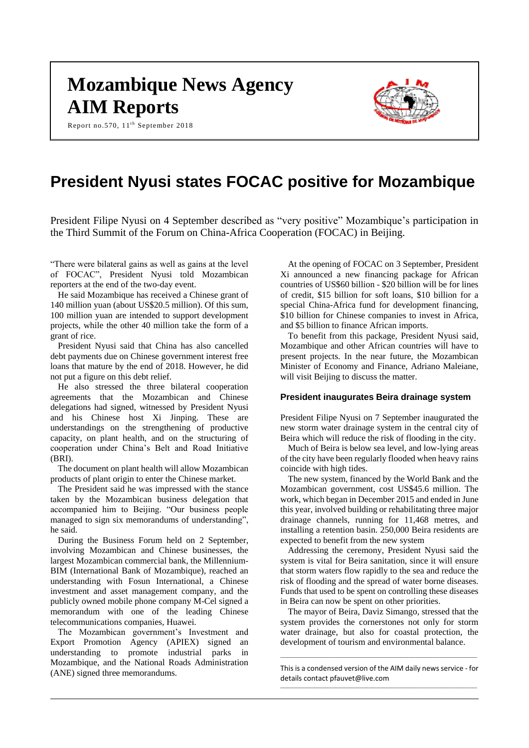# **Mozambique News Agency AIM Reports**

Report no.570, 11<sup>th</sup> September 2018



# **President Nyusi states FOCAC positive for Mozambique**

President Filipe Nyusi on 4 September described as "very positive" Mozambique's participation in the Third Summit of the Forum on China-Africa Cooperation (FOCAC) in Beijing.

"There were bilateral gains as well as gains at the level of FOCAC", President Nyusi told Mozambican reporters at the end of the two-day event.

He said Mozambique has received a Chinese grant of 140 million yuan (about US\$20.5 million). Of this sum, 100 million yuan are intended to support development projects, while the other 40 million take the form of a grant of rice.

President Nyusi said that China has also cancelled debt payments due on Chinese government interest free loans that mature by the end of 2018. However, he did not put a figure on this debt relief.

He also stressed the three bilateral cooperation agreements that the Mozambican and Chinese delegations had signed, witnessed by President Nyusi and his Chinese host Xi Jinping. These are understandings on the strengthening of productive capacity, on plant health, and on the structuring of cooperation under China's Belt and Road Initiative (BRI).

The document on plant health will allow Mozambican products of plant origin to enter the Chinese market.

The President said he was impressed with the stance taken by the Mozambican business delegation that accompanied him to Beijing. "Our business people managed to sign six memorandums of understanding", he said.

During the Business Forum held on 2 September, involving Mozambican and Chinese businesses, the largest Mozambican commercial bank, the Millennium-BIM (International Bank of Mozambique), reached an understanding with Fosun International, a Chinese investment and asset management company, and the publicly owned mobile phone company M-Cel signed a memorandum with one of the leading Chinese telecommunications companies, Huawei.

The Mozambican government's Investment and Export Promotion Agency (APIEX) signed an understanding to promote industrial parks in Mozambique, and the National Roads Administration (ANE) signed three memorandums.

At the opening of FOCAC on 3 September, President Xi announced a new financing package for African countries of US\$60 billion - \$20 billion will be for lines of credit, \$15 billion for soft loans, \$10 billion for a special China-Africa fund for development financing, \$10 billion for Chinese companies to invest in Africa, and \$5 billion to finance African imports.

To benefit from this package, President Nyusi said, Mozambique and other African countries will have to present projects. In the near future, the Mozambican Minister of Economy and Finance, Adriano Maleiane, will visit Beijing to discuss the matter.

## **President inaugurates Beira drainage system**

President Filipe Nyusi on 7 September inaugurated the new storm water drainage system in the central city of Beira which will reduce the risk of flooding in the city.

Much of Beira is below sea level, and low-lying areas of the city have been regularly flooded when heavy rains coincide with high tides.

The new system, financed by the World Bank and the Mozambican government, cost US\$45.6 million. The work, which began in December 2015 and ended in June this year, involved building or rehabilitating three major drainage channels, running for 11,468 metres, and installing a retention basin. 250,000 Beira residents are expected to benefit from the new system

Addressing the ceremony, President Nyusi said the system is vital for Beira sanitation, since it will ensure that storm waters flow rapidly to the sea and reduce the risk of flooding and the spread of water borne diseases. Funds that used to be spent on controlling these diseases in Beira can now be spent on other priorities.

The mayor of Beira, Daviz Simango, stressed that the system provides the cornerstones not only for storm water drainage, but also for coastal protection, the development of tourism and environmental balance.

This is a condensed version of the AIM daily news service - for details contac[t pfauvet@live.com](mailto:pfauvet@live.com)

\_\_\_\_\_\_\_\_\_\_\_\_\_\_\_\_\_\_\_\_\_\_\_\_\_\_\_\_\_\_\_\_\_\_\_\_\_\_\_\_\_\_\_\_\_\_\_\_\_\_\_\_\_\_\_\_\_\_\_\_\_\_\_\_\_\_\_\_\_\_\_\_\_\_\_\_\_\_\_\_\_\_\_\_\_\_\_\_\_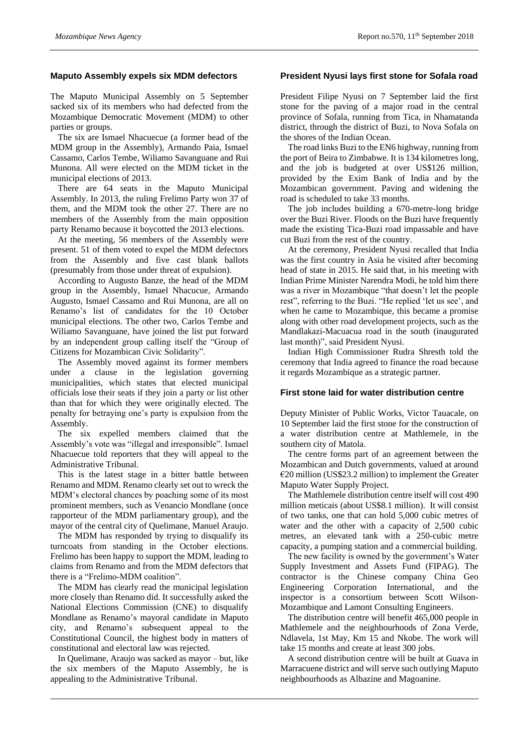# **Maputo Assembly expels six MDM defectors**

The Maputo Municipal Assembly on 5 September sacked six of its members who had defected from the Mozambique Democratic Movement (MDM) to other parties or groups.

The six are Ismael Nhacuecue (a former head of the MDM group in the Assembly), Armando Paia, Ismael Cassamo, Carlos Tembe, Wiliamo Savanguane and Rui Munona. All were elected on the MDM ticket in the municipal elections of 2013.

There are 64 seats in the Maputo Municipal Assembly. In 2013, the ruling Frelimo Party won 37 of them, and the MDM took the other 27. There are no members of the Assembly from the main opposition party Renamo because it boycotted the 2013 elections.

At the meeting, 56 members of the Assembly were present. 51 of them voted to expel the MDM defectors from the Assembly and five cast blank ballots (presumably from those under threat of expulsion).

According to Augusto Banze, the head of the MDM group in the Assembly, Ismael Nhacucue, Armando Augusto, Ismael Cassamo and Rui Munona, are all on Renamo's list of candidates for the 10 October municipal elections. The other two, Carlos Tembe and Wiliamo Savanguane, have joined the list put forward by an independent group calling itself the "Group of Citizens for Mozambican Civic Solidarity".

The Assembly moved against its former members under a clause in the legislation governing municipalities, which states that elected municipal officials lose their seats if they join a party or list other than that for which they were originally elected. The penalty for betraying one's party is expulsion from the Assembly.

The six expelled members claimed that the Assembly's vote was "illegal and irresponsible". Ismael Nhacuecue told reporters that they will appeal to the Administrative Tribunal.

This is the latest stage in a bitter battle between Renamo and MDM. Renamo clearly set out to wreck the MDM's electoral chances by poaching some of its most prominent members, such as Venancio Mondlane (once rapporteur of the MDM parliamentary group), and the mayor of the central city of Quelimane, Manuel Araujo.

The MDM has responded by trying to disqualify its turncoats from standing in the October elections. Frelimo has been happy to support the MDM, leading to claims from Renamo and from the MDM defectors that there is a "Frelimo-MDM coalition".

The MDM has clearly read the municipal legislation more closely than Renamo did. It successfully asked the National Elections Commission (CNE) to disqualify Mondlane as Renamo's mayoral candidate in Maputo city, and Renamo's subsequent appeal to the Constitutional Council, the highest body in matters of constitutional and electoral law was rejected.

In Quelimane, Araujo was sacked as mayor – but, like the six members of the Maputo Assembly, he is appealing to the Administrative Tribunal.

# **President Nyusi lays first stone for Sofala road**

President Filipe Nyusi on 7 September laid the first stone for the paving of a major road in the central province of Sofala, running from Tica, in Nhamatanda district, through the district of Buzi, to Nova Sofala on the shores of the Indian Ocean.

The road links Buzi to the EN6 highway, running from the port of Beira to Zimbabwe. It is 134 kilometres long, and the job is budgeted at over US\$126 million, provided by the Exim Bank of India and by the Mozambican government. Paving and widening the road is scheduled to take 33 months.

The job includes building a 670-metre-long bridge over the Buzi River. Floods on the Buzi have frequently made the existing Tica-Buzi road impassable and have cut Buzi from the rest of the country.

At the ceremony, President Nyusi recalled that India was the first country in Asia he visited after becoming head of state in 2015. He said that, in his meeting with Indian Prime Minister Narendra Modi, he told him there was a river in Mozambique "that doesn't let the people rest", referring to the Buzi. "He replied 'let us see', and when he came to Mozambique, this became a promise along with other road development projects, such as the Mandlakazi-Macuacua road in the south (inaugurated last month)", said President Nyusi.

Indian High Commissioner Rudra Shresth told the ceremony that India agreed to finance the road because it regards Mozambique as a strategic partner.

# **First stone laid for water distribution centre**

Deputy Minister of Public Works, Victor Tauacale, on 10 September laid the first stone for the construction of a water distribution centre at Mathlemele, in the southern city of Matola.

The centre forms part of an agreement between the Mozambican and Dutch governments, valued at around  $E$ 20 million (US\$23.2 million) to implement the Greater Maputo Water Supply Project.

The Mathlemele distribution centre itself will cost 490 million meticais (about US\$8.1 million). It will consist of two tanks, one that can hold 5,000 cubic metres of water and the other with a capacity of 2,500 cubic metres, an elevated tank with a 250-cubic metre capacity, a pumping station and a commercial building.

The new facility is owned by the government's Water Supply Investment and Assets Fund (FIPAG). The contractor is the Chinese company China Geo Engineering Corporation International, and the inspector is a consortium between Scott Wilson-Mozambique and Lamont Consulting Engineers.

The distribution centre will benefit 465,000 people in Mathlemele and the neighbourhoods of Zona Verde, Ndlavela, 1st May, Km 15 and Nkobe. The work will take 15 months and create at least 300 jobs.

A second distribution centre will be built at Guava in Marracuene district and will serve such outlying Maputo neighbourhoods as Albazine and Magoanine.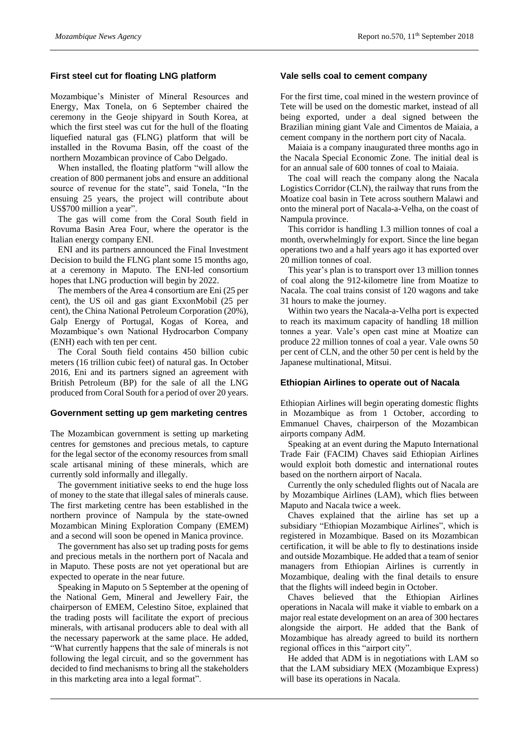# **First steel cut for floating LNG platform**

Mozambique's Minister of Mineral Resources and Energy, Max Tonela, on 6 September chaired the ceremony in the Geoje shipyard in South Korea, at which the first steel was cut for the hull of the floating liquefied natural gas (FLNG) platform that will be installed in the Rovuma Basin, off the coast of the northern Mozambican province of Cabo Delgado.

When installed, the floating platform "will allow the creation of 800 permanent jobs and ensure an additional source of revenue for the state", said Tonela, "In the ensuing 25 years, the project will contribute about US\$700 million a year".

The gas will come from the Coral South field in Rovuma Basin Area Four, where the operator is the Italian energy company ENI.

ENI and its partners announced the Final Investment Decision to build the FLNG plant some 15 months ago, at a ceremony in Maputo. The ENI-led consortium hopes that LNG production will begin by 2022.

The members of the Area 4 consortium are Eni (25 per cent), the US oil and gas giant ExxonMobil (25 per cent), the China National Petroleum Corporation (20%), Galp Energy of Portugal, Kogas of Korea, and Mozambique's own National Hydrocarbon Company (ENH) each with ten per cent.

The Coral South field contains 450 billion cubic meters (16 trillion cubic feet) of natural gas. In October 2016, Eni and its partners signed an agreement with British Petroleum (BP) for the sale of all the LNG produced from Coral South for a period of over 20 years.

## **Government setting up gem marketing centres**

The Mozambican government is setting up marketing centres for gemstones and precious metals, to capture for the legal sector of the economy resources from small scale artisanal mining of these minerals, which are currently sold informally and illegally.

The government initiative seeks to end the huge loss of money to the state that illegal sales of minerals cause. The first marketing centre has been established in the northern province of Nampula by the state-owned Mozambican Mining Exploration Company (EMEM) and a second will soon be opened in Manica province.

The government has also set up trading posts for gems and precious metals in the northern port of Nacala and in Maputo. These posts are not yet operational but are expected to operate in the near future.

Speaking in Maputo on 5 September at the opening of the National Gem, Mineral and Jewellery Fair, the chairperson of EMEM, Celestino Sitoe, explained that the trading posts will facilitate the export of precious minerals, with artisanal producers able to deal with all the necessary paperwork at the same place. He added, "What currently happens that the sale of minerals is not following the legal circuit, and so the government has decided to find mechanisms to bring all the stakeholders in this marketing area into a legal format".

#### **Vale sells coal to cement company**

For the first time, coal mined in the western province of Tete will be used on the domestic market, instead of all being exported, under a deal signed between the Brazilian mining giant Vale and Cimentos de Maiaia, a cement company in the northern port city of Nacala.

Maiaia is a company inaugurated three months ago in the Nacala Special Economic Zone. The initial deal is for an annual sale of 600 tonnes of coal to Maiaia.

The coal will reach the company along the Nacala Logistics Corridor (CLN), the railway that runs from the Moatize coal basin in Tete across southern Malawi and onto the mineral port of Nacala-a-Velha, on the coast of Nampula province.

This corridor is handling 1.3 million tonnes of coal a month, overwhelmingly for export. Since the line began operations two and a half years ago it has exported over 20 million tonnes of coal.

This year's plan is to transport over 13 million tonnes of coal along the 912-kilometre line from Moatize to Nacala. The coal trains consist of 120 wagons and take 31 hours to make the journey.

Within two years the Nacala-a-Velha port is expected to reach its maximum capacity of handling 18 million tonnes a year. Vale's open cast mine at Moatize can produce 22 million tonnes of coal a year. Vale owns 50 per cent of CLN, and the other 50 per cent is held by the Japanese multinational, Mitsui.

#### **Ethiopian Airlines to operate out of Nacala**

Ethiopian Airlines will begin operating domestic flights in Mozambique as from 1 October, according to Emmanuel Chaves, chairperson of the Mozambican airports company AdM.

Speaking at an event during the Maputo International Trade Fair (FACIM) Chaves said Ethiopian Airlines would exploit both domestic and international routes based on the northern airport of Nacala.

Currently the only scheduled flights out of Nacala are by Mozambique Airlines (LAM), which flies between Maputo and Nacala twice a week.

Chaves explained that the airline has set up a subsidiary "Ethiopian Mozambique Airlines", which is registered in Mozambique. Based on its Mozambican certification, it will be able to fly to destinations inside and outside Mozambique. He added that a team of senior managers from Ethiopian Airlines is currently in Mozambique, dealing with the final details to ensure that the flights will indeed begin in October.

Chaves believed that the Ethiopian Airlines operations in Nacala will make it viable to embark on a major real estate development on an area of 300 hectares alongside the airport. He added that the Bank of Mozambique has already agreed to build its northern regional offices in this "airport city".

He added that ADM is in negotiations with LAM so that the LAM subsidiary MEX (Mozambique Express) will base its operations in Nacala.